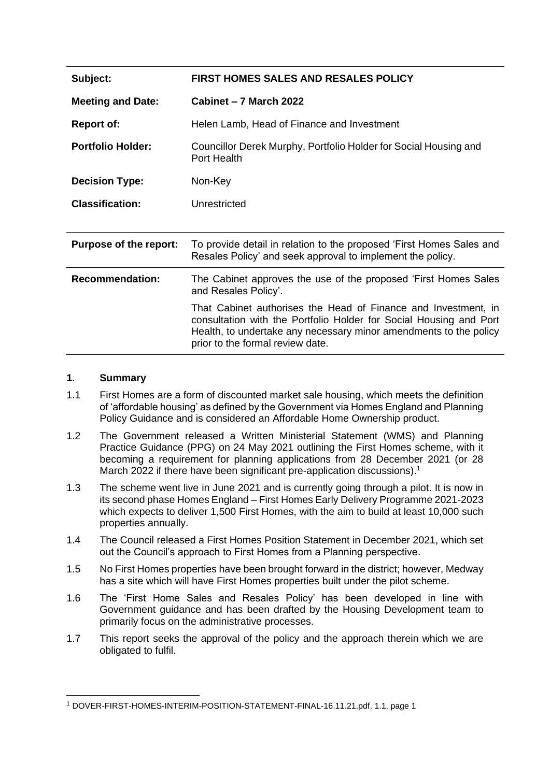| Subject:                      | <b>FIRST HOMES SALES AND RESALES POLICY</b>                                                                                                                                                                                                   |
|-------------------------------|-----------------------------------------------------------------------------------------------------------------------------------------------------------------------------------------------------------------------------------------------|
| <b>Meeting and Date:</b>      | Cabinet – 7 March 2022                                                                                                                                                                                                                        |
| <b>Report of:</b>             | Helen Lamb, Head of Finance and Investment                                                                                                                                                                                                    |
| <b>Portfolio Holder:</b>      | Councillor Derek Murphy, Portfolio Holder for Social Housing and<br>Port Health                                                                                                                                                               |
| <b>Decision Type:</b>         | Non-Key                                                                                                                                                                                                                                       |
| <b>Classification:</b>        | Unrestricted                                                                                                                                                                                                                                  |
|                               |                                                                                                                                                                                                                                               |
| <b>Purpose of the report:</b> | To provide detail in relation to the proposed 'First Homes Sales and<br>Resales Policy' and seek approval to implement the policy.                                                                                                            |
| <b>Recommendation:</b>        | The Cabinet approves the use of the proposed 'First Homes Sales<br>and Resales Policy'.                                                                                                                                                       |
|                               | That Cabinet authorises the Head of Finance and Investment, in<br>consultation with the Portfolio Holder for Social Housing and Port<br>Health, to undertake any necessary minor amendments to the policy<br>prior to the formal review date. |

#### **1. Summary**

- 1.1 First Homes are a form of discounted market sale housing, which meets the definition of 'affordable housing' as defined by the Government via Homes England and Planning Policy Guidance and is considered an Affordable Home Ownership product.
- 1.2 The Government released a Written Ministerial Statement (WMS) and Planning Practice Guidance (PPG) on 24 May 2021 outlining the First Homes scheme, with it becoming a requirement for planning applications from 28 December 2021 (or 28 March 2022 if there have been significant pre-application discussions).<sup>1</sup>
- 1.3 The scheme went live in June 2021 and is currently going through a pilot. It is now in its second phase Homes England – First Homes Early Delivery Programme 2021-2023 which expects to deliver 1,500 First Homes, with the aim to build at least 10,000 such properties annually.
- 1.4 The Council released a First Homes Position Statement in December 2021, which set out the Council's approach to First Homes from a Planning perspective.
- 1.5 No First Homes properties have been brought forward in the district; however, Medway has a site which will have First Homes properties built under the pilot scheme.
- 1.6 The 'First Home Sales and Resales Policy' has been developed in line with Government guidance and has been drafted by the Housing Development team to primarily focus on the administrative processes.
- 1.7 This report seeks the approval of the policy and the approach therein which we are obligated to fulfil.

<sup>1</sup> DOVER-FIRST-HOMES-INTERIM-POSITION-STATEMENT-FINAL-16.11.21.pdf, 1.1, page 1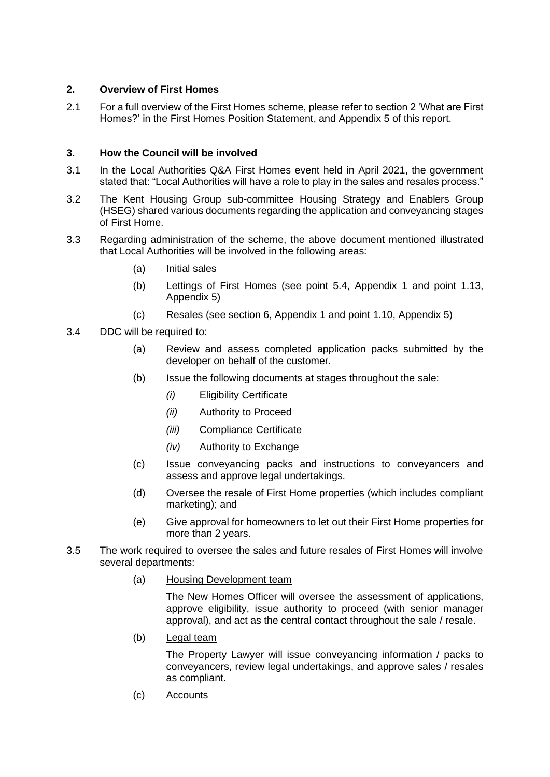## **2. Overview of First Homes**

2.1 For a full overview of the First Homes scheme, please refer to section 2 'What are First Homes?' in the First Homes Position Statement, and Appendix 5 of this report.

## **3. How the Council will be involved**

- 3.1 In the Local Authorities Q&A First Homes event held in April 2021, the government stated that: "Local Authorities will have a role to play in the sales and resales process."
- 3.2 The Kent Housing Group sub-committee Housing Strategy and Enablers Group (HSEG) shared various documents regarding the application and conveyancing stages of First Home.
- 3.3 Regarding administration of the scheme, the above document mentioned illustrated that Local Authorities will be involved in the following areas:
	- (a) Initial sales
	- (b) Lettings of First Homes (see point 5.4, Appendix 1 and point 1.13, Appendix 5)
	- (c) Resales (see section 6, Appendix 1 and point 1.10, Appendix 5)
- 3.4 DDC will be required to:
	- (a) Review and assess completed application packs submitted by the developer on behalf of the customer.
	- (b) Issue the following documents at stages throughout the sale:
		- *(i)* Eligibility Certificate
		- *(ii)* Authority to Proceed
		- *(iii)* Compliance Certificate
		- *(iv)* Authority to Exchange
	- (c) Issue conveyancing packs and instructions to conveyancers and assess and approve legal undertakings.
	- (d) Oversee the resale of First Home properties (which includes compliant marketing); and
	- (e) Give approval for homeowners to let out their First Home properties for more than 2 years.
- 3.5 The work required to oversee the sales and future resales of First Homes will involve several departments:
	- (a) Housing Development team

The New Homes Officer will oversee the assessment of applications, approve eligibility, issue authority to proceed (with senior manager approval), and act as the central contact throughout the sale / resale.

(b) Legal team

The Property Lawyer will issue conveyancing information / packs to conveyancers, review legal undertakings, and approve sales / resales as compliant.

(c) Accounts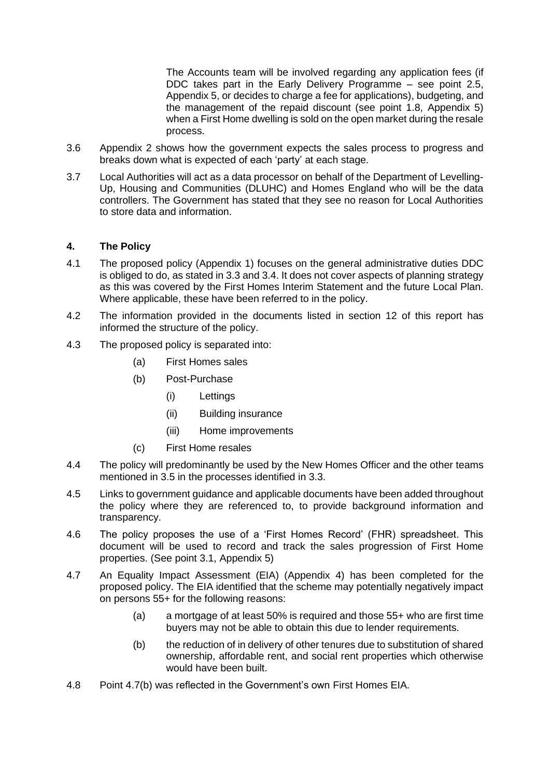The Accounts team will be involved regarding any application fees (if DDC takes part in the Early Delivery Programme – see point 2.5, Appendix 5, or decides to charge a fee for applications), budgeting, and the management of the repaid discount (see point 1.8, Appendix 5) when a First Home dwelling is sold on the open market during the resale process.

- 3.6 Appendix 2 shows how the government expects the sales process to progress and breaks down what is expected of each 'party' at each stage.
- 3.7 Local Authorities will act as a data processor on behalf of the Department of Levelling-Up, Housing and Communities (DLUHC) and Homes England who will be the data controllers. The Government has stated that they see no reason for Local Authorities to store data and information.

## **4. The Policy**

- 4.1 The proposed policy (Appendix 1) focuses on the general administrative duties DDC is obliged to do, as stated in 3.3 and 3.4. It does not cover aspects of planning strategy as this was covered by the First Homes Interim Statement and the future Local Plan. Where applicable, these have been referred to in the policy.
- 4.2 The information provided in the documents listed in section 12 of this report has informed the structure of the policy.
- 4.3 The proposed policy is separated into:
	- (a) First Homes sales
	- (b) Post-Purchase
		- (i) Lettings
		- (ii) Building insurance
		- (iii) Home improvements
	- (c) First Home resales
- 4.4 The policy will predominantly be used by the New Homes Officer and the other teams mentioned in 3.5 in the processes identified in 3.3.
- 4.5 Links to government guidance and applicable documents have been added throughout the policy where they are referenced to, to provide background information and transparency.
- 4.6 The policy proposes the use of a 'First Homes Record' (FHR) spreadsheet. This document will be used to record and track the sales progression of First Home properties. (See point 3.1, Appendix 5)
- 4.7 An Equality Impact Assessment (EIA) (Appendix 4) has been completed for the proposed policy. The EIA identified that the scheme may potentially negatively impact on persons 55+ for the following reasons:
	- (a) a mortgage of at least 50% is required and those 55+ who are first time buyers may not be able to obtain this due to lender requirements.
	- (b) the reduction of in delivery of other tenures due to substitution of shared ownership, affordable rent, and social rent properties which otherwise would have been built.
- 4.8 Point 4.7(b) was reflected in the Government's own First Homes EIA.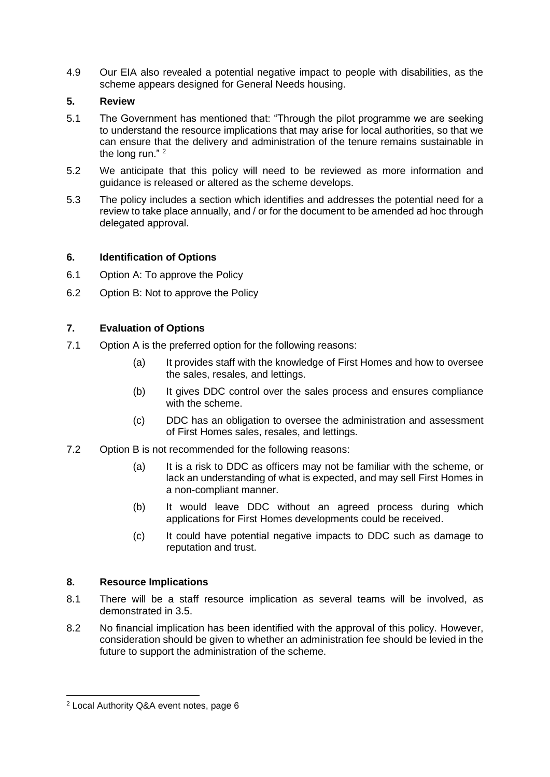4.9 Our EIA also revealed a potential negative impact to people with disabilities, as the scheme appears designed for General Needs housing.

#### **5. Review**

- 5.1 The Government has mentioned that: "Through the pilot programme we are seeking to understand the resource implications that may arise for local authorities, so that we can ensure that the delivery and administration of the tenure remains sustainable in the long run."<sup>2</sup>
- 5.2 We anticipate that this policy will need to be reviewed as more information and guidance is released or altered as the scheme develops.
- 5.3 The policy includes a section which identifies and addresses the potential need for a review to take place annually, and / or for the document to be amended ad hoc through delegated approval.

## **6. Identification of Options**

- 6.1 Option A: To approve the Policy
- 6.2 Option B: Not to approve the Policy

## **7. Evaluation of Options**

- 7.1 Option A is the preferred option for the following reasons:
	- (a) It provides staff with the knowledge of First Homes and how to oversee the sales, resales, and lettings.
	- (b) It gives DDC control over the sales process and ensures compliance with the scheme.
	- (c) DDC has an obligation to oversee the administration and assessment of First Homes sales, resales, and lettings.
- 7.2 Option B is not recommended for the following reasons:
	- (a) It is a risk to DDC as officers may not be familiar with the scheme, or lack an understanding of what is expected, and may sell First Homes in a non-compliant manner.
	- (b) It would leave DDC without an agreed process during which applications for First Homes developments could be received.
	- (c) It could have potential negative impacts to DDC such as damage to reputation and trust.

#### **8. Resource Implications**

- 8.1 There will be a staff resource implication as several teams will be involved, as demonstrated in 3.5.
- 8.2 No financial implication has been identified with the approval of this policy. However, consideration should be given to whether an administration fee should be levied in the future to support the administration of the scheme.

<sup>2</sup> Local Authority Q&A event notes, page 6